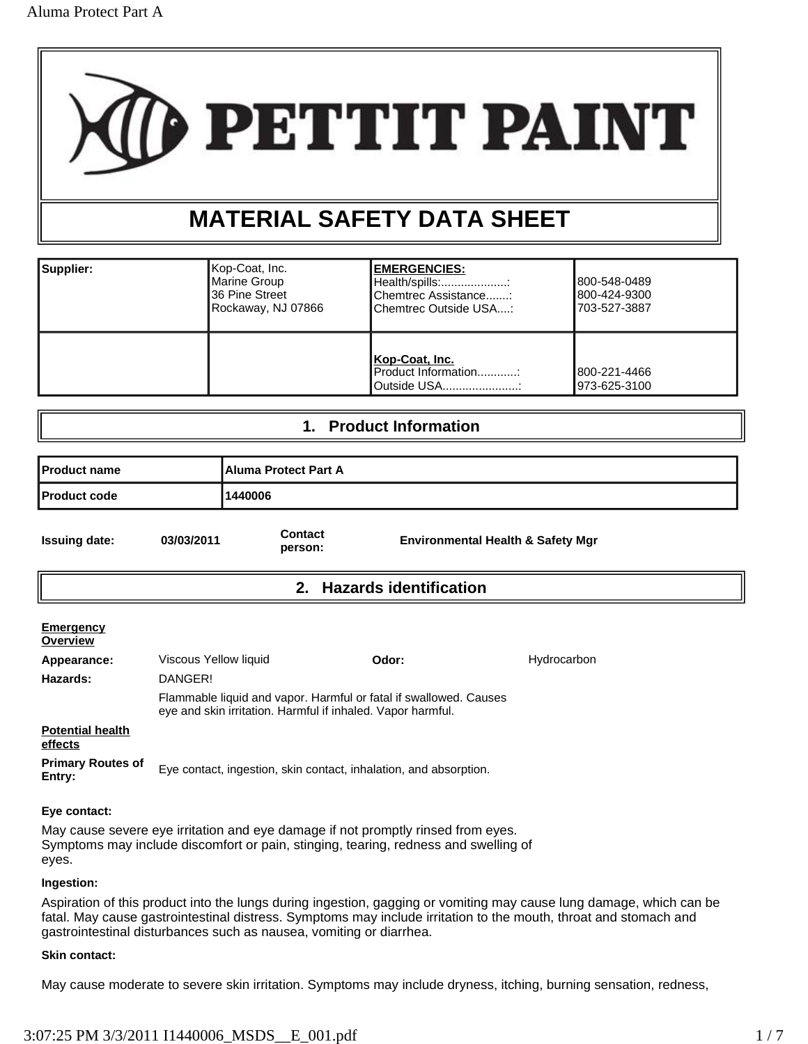

# **MATERIAL SAFETY DATA SHEET**

| Supplier: | ∣Kop-Coat, Inc.<br>Marine Group<br>I36 Pine Street<br>Rockaway, NJ 07866 | <b>EMERGENCIES:</b><br>Health/spills::<br>Chemtrec Assistance:<br>Chemtrec Outside USA: | 800-548-0489<br>800-424-9300<br>1703-527-3887 |
|-----------|--------------------------------------------------------------------------|-----------------------------------------------------------------------------------------|-----------------------------------------------|
|           |                                                                          | Kop-Coat, Inc.<br>Product Information:<br>Outside USA:                                  | 1800-221-4466<br>1973-625-3100                |

### **1. Product Information**

| l Product name               |                                  |                    | <b>Aluma Protect Part A</b> |                                              |  |  |
|------------------------------|----------------------------------|--------------------|-----------------------------|----------------------------------------------|--|--|
| <b>Product code</b>          |                                  | 1440006            |                             |                                              |  |  |
| <b>Issuing date:</b>         | 03/03/2011                       | Contact<br>person: |                             | <b>Environmental Health &amp; Safety Mgr</b> |  |  |
|                              |                                  |                    | 2. Hazards identification   |                                              |  |  |
| <b>Emergency</b><br>Overview |                                  |                    |                             |                                              |  |  |
| Appearance:<br>Hazards:      | Viscous Yellow liquid<br>DANGER! |                    | Odor:                       | Hydrocarbon                                  |  |  |

Flammable liquid and vapor. Harmful or fatal if swallowed. Causes eye and skin irritation. Harmful if inhaled. Vapor harmful. **Potential health** 

**effects**

**Primary Routes of EXECUTE:** Executact, ingestion, skin contact, inhalation, and absorption.<br>**Entry:** 

### **Eye contact:**

May cause severe eye irritation and eye damage if not promptly rinsed from eyes. Symptoms may include discomfort or pain, stinging, tearing, redness and swelling of eyes.

### **Ingestion:**

Aspiration of this product into the lungs during ingestion, gagging or vomiting may cause lung damage, which can be fatal. May cause gastrointestinal distress. Symptoms may include irritation to the mouth, throat and stomach and gastrointestinal disturbances such as nausea, vomiting or diarrhea.

### **Skin contact:**

May cause moderate to severe skin irritation. Symptoms may include dryness, itching, burning sensation, redness,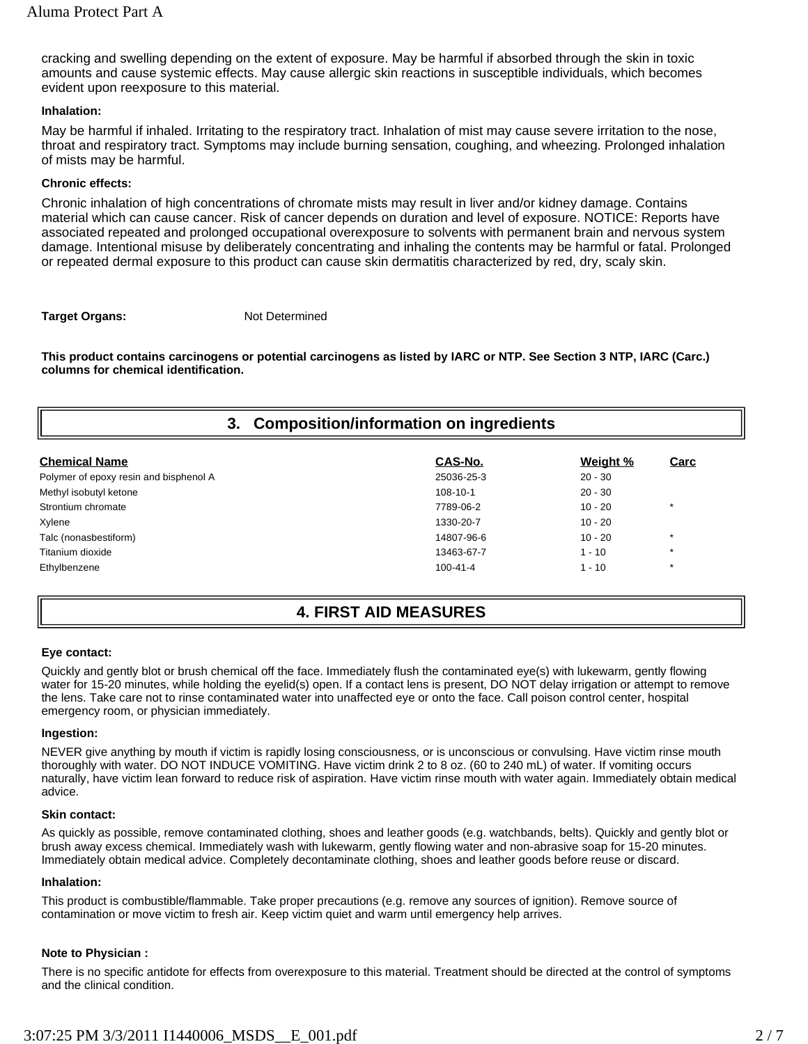cracking and swelling depending on the extent of exposure. May be harmful if absorbed through the skin in toxic amounts and cause systemic effects. May cause allergic skin reactions in susceptible individuals, which becomes evident upon reexposure to this material.

### **Inhalation:**

May be harmful if inhaled. Irritating to the respiratory tract. Inhalation of mist may cause severe irritation to the nose, throat and respiratory tract. Symptoms may include burning sensation, coughing, and wheezing. Prolonged inhalation of mists may be harmful.

### **Chronic effects:**

Chronic inhalation of high concentrations of chromate mists may result in liver and/or kidney damage. Contains material which can cause cancer. Risk of cancer depends on duration and level of exposure. NOTICE: Reports have associated repeated and prolonged occupational overexposure to solvents with permanent brain and nervous system damage. Intentional misuse by deliberately concentrating and inhaling the contents may be harmful or fatal. Prolonged or repeated dermal exposure to this product can cause skin dermatitis characterized by red, dry, scaly skin.

### **Target Organs:** Not Determined

**This product contains carcinogens or potential carcinogens as listed by IARC or NTP. See Section 3 NTP, IARC (Carc.) columns for chemical identification.** 

### **3. Composition/information on ingredients**

| <b>Chemical Name</b>                   | CAS-No.        | Weight %  | Carc    |
|----------------------------------------|----------------|-----------|---------|
| Polymer of epoxy resin and bisphenol A | 25036-25-3     | $20 - 30$ |         |
| Methyl isobutyl ketone                 | 108-10-1       | $20 - 30$ |         |
| Strontium chromate                     | 7789-06-2      | $10 - 20$ | $\star$ |
| Xylene                                 | 1330-20-7      | $10 - 20$ |         |
| Talc (nonasbestiform)                  | 14807-96-6     | $10 - 20$ | $\star$ |
| Titanium dioxide                       | 13463-67-7     | $1 - 10$  | $\star$ |
| Ethylbenzene                           | $100 - 41 - 4$ | $1 - 10$  | $\star$ |

### **4. FIRST AID MEASURES**

### **Eye contact:**

Quickly and gently blot or brush chemical off the face. Immediately flush the contaminated eye(s) with lukewarm, gently flowing water for 15-20 minutes, while holding the eyelid(s) open. If a contact lens is present, DO NOT delay irrigation or attempt to remove the lens. Take care not to rinse contaminated water into unaffected eye or onto the face. Call poison control center, hospital emergency room, or physician immediately.

### **Ingestion:**

NEVER give anything by mouth if victim is rapidly losing consciousness, or is unconscious or convulsing. Have victim rinse mouth thoroughly with water. DO NOT INDUCE VOMITING. Have victim drink 2 to 8 oz. (60 to 240 mL) of water. If vomiting occurs naturally, have victim lean forward to reduce risk of aspiration. Have victim rinse mouth with water again. Immediately obtain medical advice.

### **Skin contact:**

As quickly as possible, remove contaminated clothing, shoes and leather goods (e.g. watchbands, belts). Quickly and gently blot or brush away excess chemical. Immediately wash with lukewarm, gently flowing water and non-abrasive soap for 15-20 minutes. Immediately obtain medical advice. Completely decontaminate clothing, shoes and leather goods before reuse or discard.

### **Inhalation:**

This product is combustible/flammable. Take proper precautions (e.g. remove any sources of ignition). Remove source of contamination or move victim to fresh air. Keep victim quiet and warm until emergency help arrives.

### **Note to Physician :**

There is no specific antidote for effects from overexposure to this material. Treatment should be directed at the control of symptoms and the clinical condition.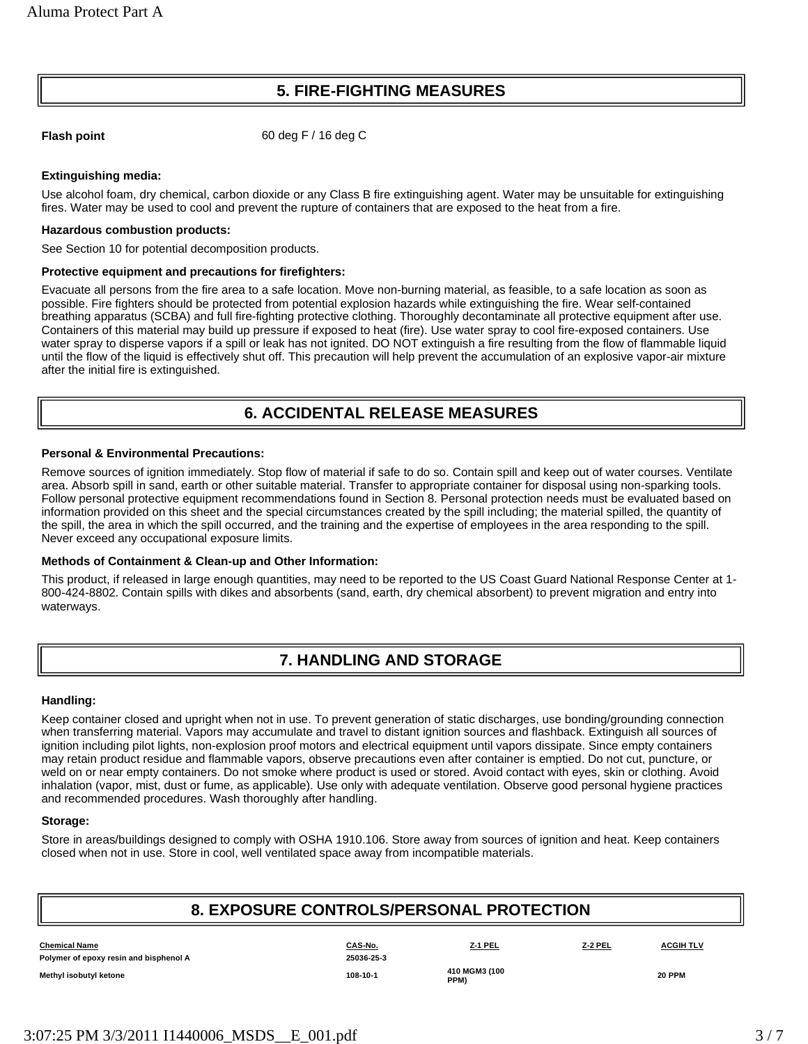## **5. FIRE-FIGHTING MEASURES**

**Flash point** 60 deg F / 16 deg C

### **Extinguishing media:**

Use alcohol foam, dry chemical, carbon dioxide or any Class B fire extinguishing agent. Water may be unsuitable for extinguishing fires. Water may be used to cool and prevent the rupture of containers that are exposed to the heat from a fire.

#### **Hazardous combustion products:**

See Section 10 for potential decomposition products.

#### **Protective equipment and precautions for firefighters:**

Evacuate all persons from the fire area to a safe location. Move non-burning material, as feasible, to a safe location as soon as possible. Fire fighters should be protected from potential explosion hazards while extinguishing the fire. Wear self-contained breathing apparatus (SCBA) and full fire-fighting protective clothing. Thoroughly decontaminate all protective equipment after use. Containers of this material may build up pressure if exposed to heat (fire). Use water spray to cool fire-exposed containers. Use water spray to disperse vapors if a spill or leak has not ignited. DO NOT extinguish a fire resulting from the flow of flammable liquid until the flow of the liquid is effectively shut off. This precaution will help prevent the accumulation of an explosive vapor-air mixture after the initial fire is extinguished.

## **6. ACCIDENTAL RELEASE MEASURES**

### **Personal & Environmental Precautions:**

Remove sources of ignition immediately. Stop flow of material if safe to do so. Contain spill and keep out of water courses. Ventilate area. Absorb spill in sand, earth or other suitable material. Transfer to appropriate container for disposal using non-sparking tools. Follow personal protective equipment recommendations found in Section 8. Personal protection needs must be evaluated based on information provided on this sheet and the special circumstances created by the spill including; the material spilled, the quantity of the spill, the area in which the spill occurred, and the training and the expertise of employees in the area responding to the spill. Never exceed any occupational exposure limits.

### **Methods of Containment & Clean-up and Other Information:**

This product, if released in large enough quantities, may need to be reported to the US Coast Guard National Response Center at 1- 800-424-8802. Contain spills with dikes and absorbents (sand, earth, dry chemical absorbent) to prevent migration and entry into waterways.

### **7. HANDLING AND STORAGE**

#### **Handling:**

Keep container closed and upright when not in use. To prevent generation of static discharges, use bonding/grounding connection when transferring material. Vapors may accumulate and travel to distant ignition sources and flashback. Extinguish all sources of ignition including pilot lights, non-explosion proof motors and electrical equipment until vapors dissipate. Since empty containers may retain product residue and flammable vapors, observe precautions even after container is emptied. Do not cut, puncture, or weld on or near empty containers. Do not smoke where product is used or stored. Avoid contact with eyes, skin or clothing. Avoid inhalation (vapor, mist, dust or fume, as applicable). Use only with adequate ventilation. Observe good personal hygiene practices and recommended procedures. Wash thoroughly after handling.

### **Storage:**

Store in areas/buildings designed to comply with OSHA 1910.106. Store away from sources of ignition and heat. Keep containers closed when not in use. Store in cool, well ventilated space away from incompatible materials.

### **8. EXPOSURE CONTROLS/PERSONAL PROTECTION**

| <b>Chemical Name</b>                   | CAS-No.    | Z-1 PEL               | Z-2 PEL | <b>ACGIH TLV</b> |
|----------------------------------------|------------|-----------------------|---------|------------------|
| Polymer of epoxy resin and bisphenol A | 25036-25-3 |                       |         |                  |
| Methyl isobutyl ketone                 | 108-10-1   | 410 MGM3 (100<br>PPM) |         | <b>20 PPM</b>    |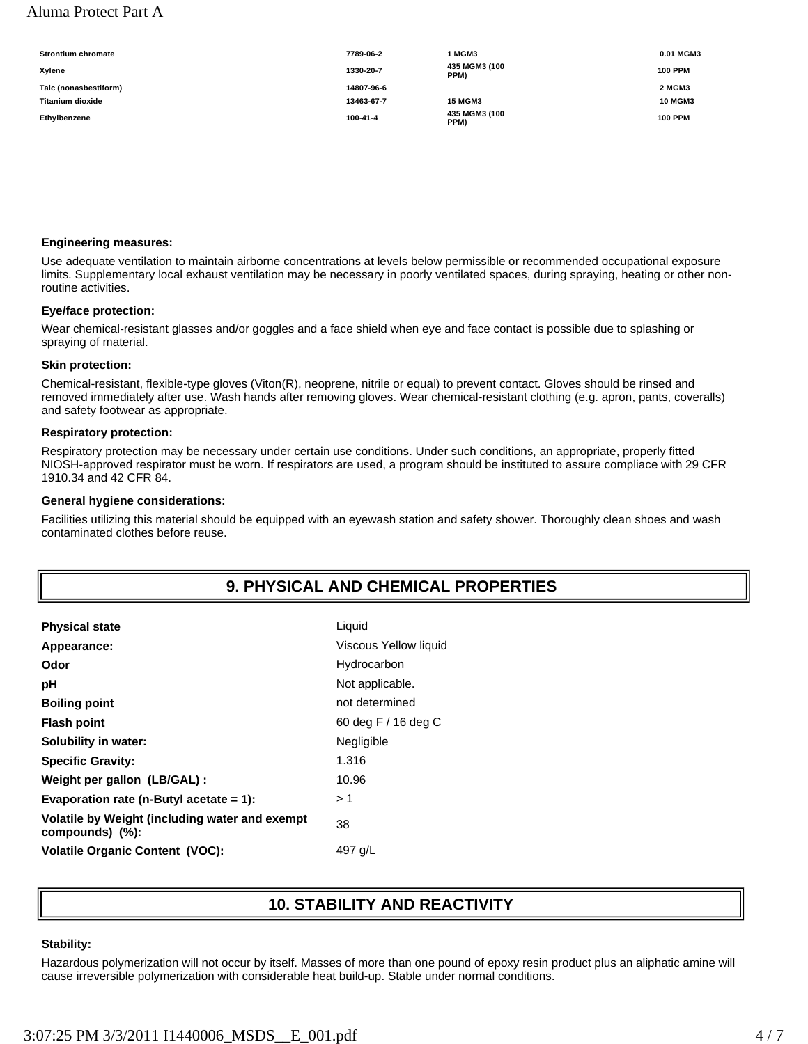### Aluma Protect Part A

| <b>Strontium chromate</b> | 7789-06-2  | 1 MGM3                      | 0.01 MGM3      |
|---------------------------|------------|-----------------------------|----------------|
| Xvlene                    | 1330-20-7  | 435 MGM3 (100<br>PPM)       | <b>100 PPM</b> |
| Talc (nonasbestiform)     | 14807-96-6 |                             | 2 MGM3         |
| <b>Titanium dioxide</b>   | 13463-67-7 | <b>15 MGM3</b>              | <b>10 MGM3</b> |
| Ethylbenzene              | 100-41-4   | 435 MGM3 (100<br><b>PPM</b> | <b>100 PPM</b> |

#### **Engineering measures:**

Use adequate ventilation to maintain airborne concentrations at levels below permissible or recommended occupational exposure limits. Supplementary local exhaust ventilation may be necessary in poorly ventilated spaces, during spraying, heating or other nonroutine activities.

#### **Eye/face protection:**

Wear chemical-resistant glasses and/or goggles and a face shield when eye and face contact is possible due to splashing or spraying of material.

#### **Skin protection:**

Chemical-resistant, flexible-type gloves (Viton(R), neoprene, nitrile or equal) to prevent contact. Gloves should be rinsed and removed immediately after use. Wash hands after removing gloves. Wear chemical-resistant clothing (e.g. apron, pants, coveralls) and safety footwear as appropriate.

#### **Respiratory protection:**

Respiratory protection may be necessary under certain use conditions. Under such conditions, an appropriate, properly fitted NIOSH-approved respirator must be worn. If respirators are used, a program should be instituted to assure compliace with 29 CFR 1910.34 and 42 CFR 84.

#### **General hygiene considerations:**

Facilities utilizing this material should be equipped with an eyewash station and safety shower. Thoroughly clean shoes and wash contaminated clothes before reuse.

## **9. PHYSICAL AND CHEMICAL PROPERTIES**

| Appearance:<br>Hydrocarbon<br>Odor<br>Not applicable.<br>рH<br>not determined<br><b>Boiling point</b><br>60 deg F / 16 deg C<br><b>Flash point</b><br>Negligible<br>Solubility in water:<br>1.316<br><b>Specific Gravity:</b><br>10.96<br>Weight per gallon (LB/GAL):<br>Evaporation rate (n-Butyl acetate $= 1$ ):<br>> 1<br>Volatile by Weight (including water and exempt<br>38<br>compounds) (%):<br><b>Volatile Organic Content (VOC):</b><br>497 g/L | <b>Physical state</b> | Liquid                |
|------------------------------------------------------------------------------------------------------------------------------------------------------------------------------------------------------------------------------------------------------------------------------------------------------------------------------------------------------------------------------------------------------------------------------------------------------------|-----------------------|-----------------------|
|                                                                                                                                                                                                                                                                                                                                                                                                                                                            |                       | Viscous Yellow liquid |
|                                                                                                                                                                                                                                                                                                                                                                                                                                                            |                       |                       |
|                                                                                                                                                                                                                                                                                                                                                                                                                                                            |                       |                       |
|                                                                                                                                                                                                                                                                                                                                                                                                                                                            |                       |                       |
|                                                                                                                                                                                                                                                                                                                                                                                                                                                            |                       |                       |
|                                                                                                                                                                                                                                                                                                                                                                                                                                                            |                       |                       |
|                                                                                                                                                                                                                                                                                                                                                                                                                                                            |                       |                       |
|                                                                                                                                                                                                                                                                                                                                                                                                                                                            |                       |                       |
|                                                                                                                                                                                                                                                                                                                                                                                                                                                            |                       |                       |
|                                                                                                                                                                                                                                                                                                                                                                                                                                                            |                       |                       |
|                                                                                                                                                                                                                                                                                                                                                                                                                                                            |                       |                       |

### **10. STABILITY AND REACTIVITY**

#### **Stability:**

Hazardous polymerization will not occur by itself. Masses of more than one pound of epoxy resin product plus an aliphatic amine will cause irreversible polymerization with considerable heat build-up. Stable under normal conditions.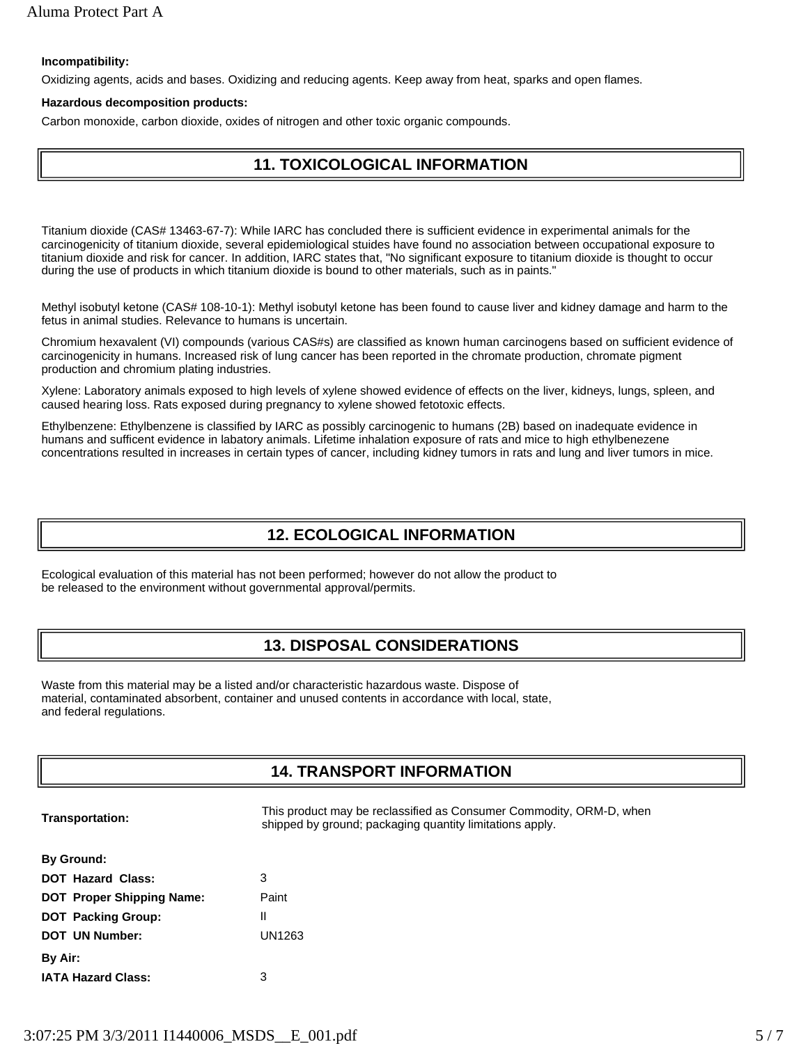### **Incompatibility:**

Oxidizing agents, acids and bases. Oxidizing and reducing agents. Keep away from heat, sparks and open flames.

#### **Hazardous decomposition products:**

Carbon monoxide, carbon dioxide, oxides of nitrogen and other toxic organic compounds.

### **11. TOXICOLOGICAL INFORMATION**

Titanium dioxide (CAS# 13463-67-7): While IARC has concluded there is sufficient evidence in experimental animals for the carcinogenicity of titanium dioxide, several epidemiological stuides have found no association between occupational exposure to titanium dioxide and risk for cancer. In addition, IARC states that, "No significant exposure to titanium dioxide is thought to occur during the use of products in which titanium dioxide is bound to other materials, such as in paints."

Methyl isobutyl ketone (CAS# 108-10-1): Methyl isobutyl ketone has been found to cause liver and kidney damage and harm to the fetus in animal studies. Relevance to humans is uncertain.

Chromium hexavalent (VI) compounds (various CAS#s) are classified as known human carcinogens based on sufficient evidence of carcinogenicity in humans. Increased risk of lung cancer has been reported in the chromate production, chromate pigment production and chromium plating industries.

Xylene: Laboratory animals exposed to high levels of xylene showed evidence of effects on the liver, kidneys, lungs, spleen, and caused hearing loss. Rats exposed during pregnancy to xylene showed fetotoxic effects.

Ethylbenzene: Ethylbenzene is classified by IARC as possibly carcinogenic to humans (2B) based on inadequate evidence in humans and sufficent evidence in labatory animals. Lifetime inhalation exposure of rats and mice to high ethylbenezene concentrations resulted in increases in certain types of cancer, including kidney tumors in rats and lung and liver tumors in mice.

### **12. ECOLOGICAL INFORMATION**

Ecological evaluation of this material has not been performed; however do not allow the product to be released to the environment without governmental approval/permits.

### **13. DISPOSAL CONSIDERATIONS**

Waste from this material may be a listed and/or characteristic hazardous waste. Dispose of material, contaminated absorbent, container and unused contents in accordance with local, state, and federal regulations.

### **14. TRANSPORT INFORMATION**

| <b>Transportation:</b> |
|------------------------|
|------------------------|

This product may be reclassified as Consumer Commodity, ORM-D, when shipped by ground; packaging quantity limitations apply.

| <b>By Ground:</b>                |        |
|----------------------------------|--------|
| <b>DOT Hazard Class:</b>         | 3      |
| <b>DOT Proper Shipping Name:</b> | Paint  |
| <b>DOT Packing Group:</b>        | Ш      |
| <b>DOT UN Number:</b>            | UN1263 |
| By Air:                          |        |
| <b>IATA Hazard Class:</b>        | з      |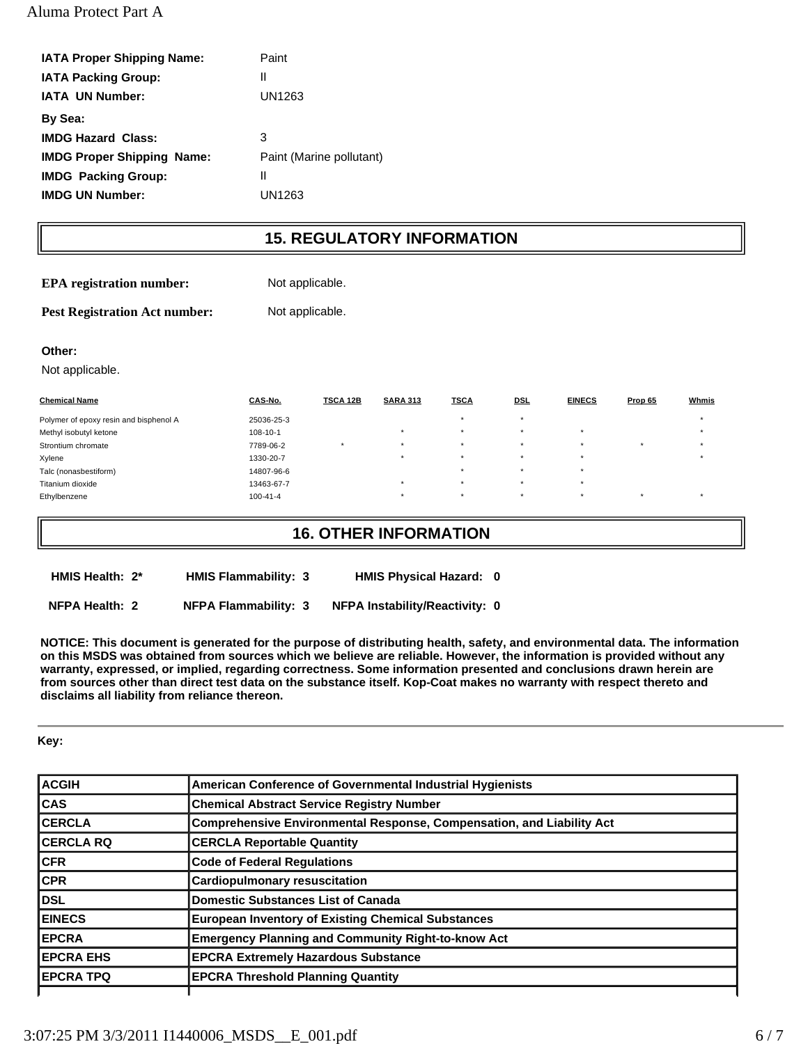| <b>IATA Proper Shipping Name:</b> | Paint                    |
|-----------------------------------|--------------------------|
| <b>IATA Packing Group:</b>        | Ш                        |
| <b>IATA UN Number:</b>            | UN1263                   |
| By Sea:                           |                          |
| <b>IMDG Hazard Class:</b>         | 3                        |
| <b>IMDG Proper Shipping Name:</b> | Paint (Marine pollutant) |
| <b>IMDG</b> Packing Group:        | Ш                        |
| <b>IMDG UN Number:</b>            | UN1263                   |
|                                   |                          |

## **15. REGULATORY INFORMATION**

**EPA registration number:** Not applicable.

Pest Registration Act number: Not applicable.

### **Other:**

Not applicable.

| <b>Chemical Name</b>                   | CAS-No.        | <b>TSCA 12B</b> | <b>SARA 313</b> | <b>TSCA</b> | <b>DSL</b> | <b>EINECS</b> | Prop 65   | Whmis |
|----------------------------------------|----------------|-----------------|-----------------|-------------|------------|---------------|-----------|-------|
| Polymer of epoxy resin and bisphenol A | 25036-25-3     |                 |                 | $\star$     |            |               |           |       |
| Methyl isobutyl ketone                 | $108 - 10 - 1$ |                 | $\rightarrow$   | $\star$     | . .        | $\star$       |           |       |
| Strontium chromate                     | 7789-06-2      |                 |                 | $\star$     |            | $\star$       | $\ddot{}$ |       |
| Xylene                                 | 1330-20-7      |                 | ۰.              | $\star$     | - 4        | $\star$       |           |       |
| Talc (nonasbestiform)                  | 14807-96-6     |                 |                 | $\star$     |            | $\star$       |           |       |
| Titanium dioxide                       | 13463-67-7     |                 | ۰.              | $\star$     | $\star$    | $\star$       |           |       |
| Ethylbenzene                           | $100 - 41 - 4$ |                 |                 | $\star$     |            | $\star$       |           |       |

### **16. OTHER INFORMATION**

**HMIS Health: 2\* HMIS Flammability: 3 HMIS Physical Hazard: 0**

**NFPA Health: 2 NFPA Flammability: 3 NFPA Instability/Reactivity: 0**

**NOTICE: This document is generated for the purpose of distributing health, safety, and environmental data. The information on this MSDS was obtained from sources which we believe are reliable. However, the information is provided without any warranty, expressed, or implied, regarding correctness. Some information presented and conclusions drawn herein are from sources other than direct test data on the substance itself. Kop-Coat makes no warranty with respect thereto and disclaims all liability from reliance thereon.**

### **Key:**

| <b>ACGIH</b>     | American Conference of Governmental Industrial Hygienists             |
|------------------|-----------------------------------------------------------------------|
| <b>CAS</b>       | <b>Chemical Abstract Service Registry Number</b>                      |
| <b>CERCLA</b>    | Comprehensive Environmental Response, Compensation, and Liability Act |
| <b>CERCLA RQ</b> | <b>CERCLA Reportable Quantity</b>                                     |
| <b>CFR</b>       | <b>Code of Federal Regulations</b>                                    |
| <b>CPR</b>       | <b>Cardiopulmonary resuscitation</b>                                  |
| <b>DSL</b>       | <b>Domestic Substances List of Canada</b>                             |
| <b>EINECS</b>    | <b>European Inventory of Existing Chemical Substances</b>             |
| <b>EPCRA</b>     | <b>Emergency Planning and Community Right-to-know Act</b>             |
| <b>EPCRA EHS</b> | <b>EPCRA Extremely Hazardous Substance</b>                            |
| <b>EPCRA TPQ</b> | <b>EPCRA Threshold Planning Quantity</b>                              |
|                  |                                                                       |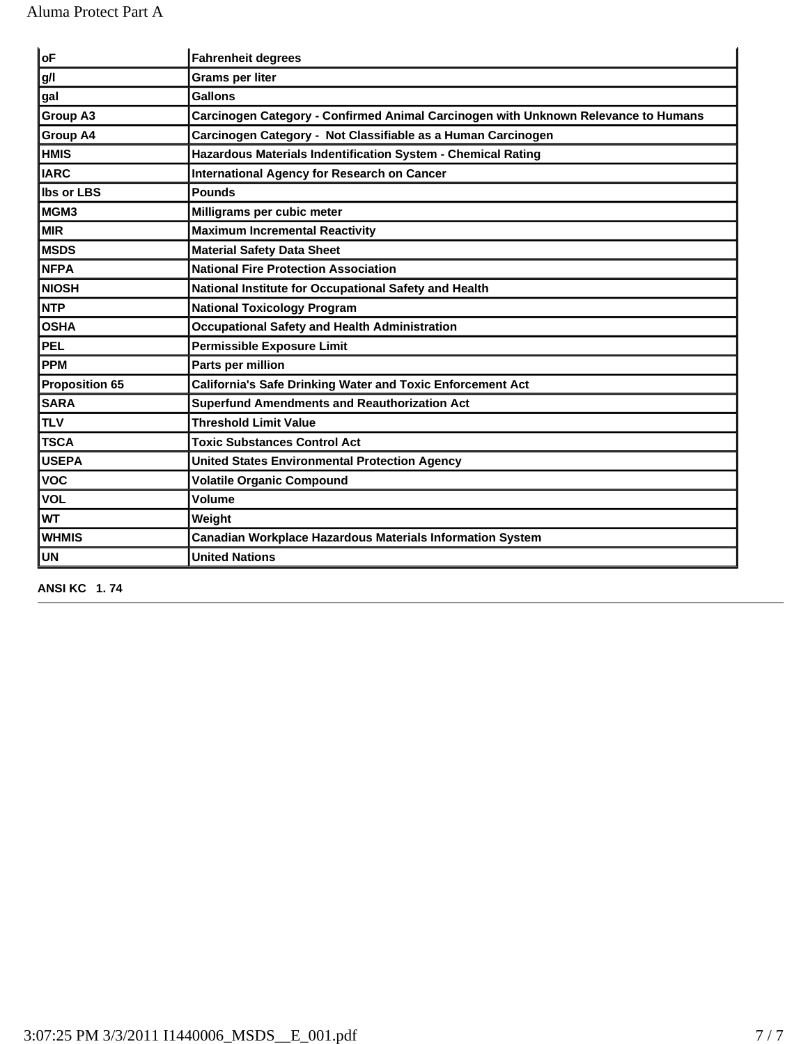| oF                    | <b>Fahrenheit degrees</b>                                                          |
|-----------------------|------------------------------------------------------------------------------------|
| g/l                   | Grams per liter                                                                    |
| gal                   | <b>Gallons</b>                                                                     |
| <b>Group A3</b>       | Carcinogen Category - Confirmed Animal Carcinogen with Unknown Relevance to Humans |
| <b>Group A4</b>       | Carcinogen Category - Not Classifiable as a Human Carcinogen                       |
| <b>HMIS</b>           | Hazardous Materials Indentification System - Chemical Rating                       |
| <b>IARC</b>           | <b>International Agency for Research on Cancer</b>                                 |
| <b>Ibs or LBS</b>     | <b>Pounds</b>                                                                      |
| MGM3                  | Milligrams per cubic meter                                                         |
| <b>MIR</b>            | <b>Maximum Incremental Reactivity</b>                                              |
| <b>MSDS</b>           | <b>Material Safety Data Sheet</b>                                                  |
| <b>NFPA</b>           | <b>National Fire Protection Association</b>                                        |
| <b>NIOSH</b>          | National Institute for Occupational Safety and Health                              |
| <b>NTP</b>            | <b>National Toxicology Program</b>                                                 |
| <b>OSHA</b>           | <b>Occupational Safety and Health Administration</b>                               |
| <b>PEL</b>            | <b>Permissible Exposure Limit</b>                                                  |
| <b>PPM</b>            | Parts per million                                                                  |
| <b>Proposition 65</b> | California's Safe Drinking Water and Toxic Enforcement Act                         |
| <b>SARA</b>           | <b>Superfund Amendments and Reauthorization Act</b>                                |
| <b>TLV</b>            | <b>Threshold Limit Value</b>                                                       |
| <b>TSCA</b>           | <b>Toxic Substances Control Act</b>                                                |
| <b>USEPA</b>          | <b>United States Environmental Protection Agency</b>                               |
| <b>VOC</b>            | <b>Volatile Organic Compound</b>                                                   |
| <b>VOL</b>            | <b>Volume</b>                                                                      |
| <b>WT</b>             | Weight                                                                             |
| <b>WHMIS</b>          | Canadian Workplace Hazardous Materials Information System                          |
| <b>UN</b>             | <b>United Nations</b>                                                              |

**ANSI KC 1. 74**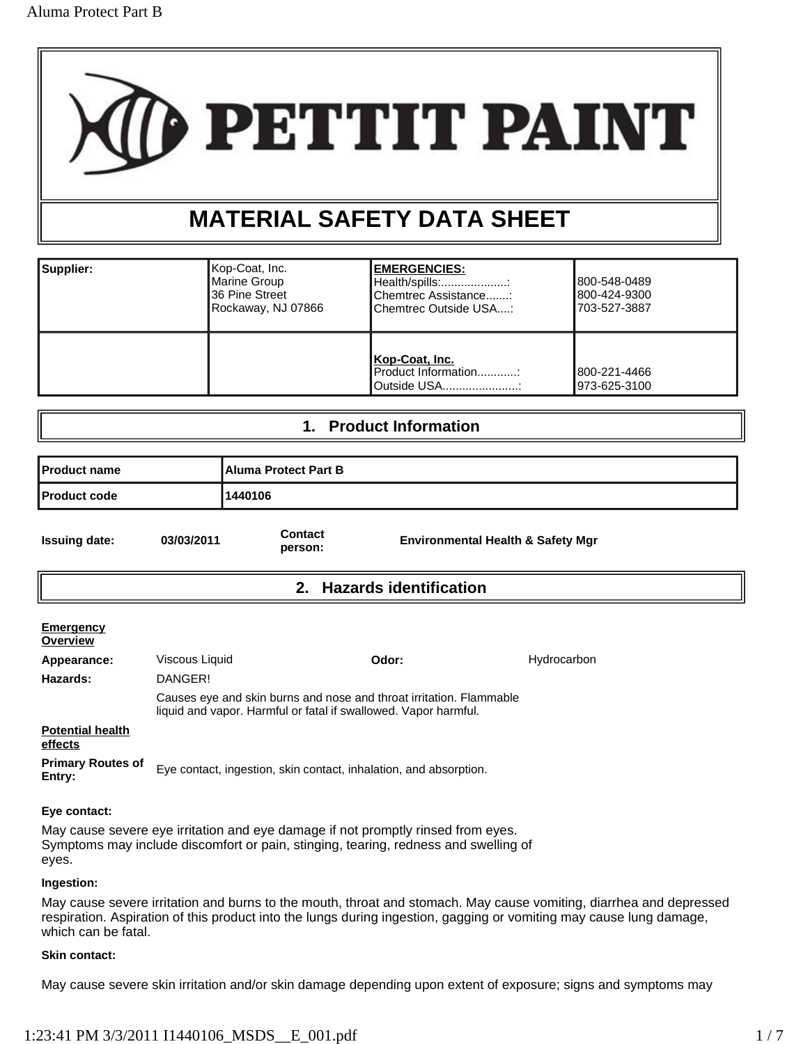

# **MATERIAL SAFETY DATA SHEET**

| Supplier: | ∥Kop-Coat, Inc.<br>Marine Group<br>36 Pine Street<br>Rockaway, NJ 07866 | <b>EMERGENCIES:</b><br>Health/spills:<br>Chemtrec Assistance:<br>Chemtrec Outside USA: | 1800-548-0489<br>800-424-9300<br>703-527-3887 |
|-----------|-------------------------------------------------------------------------|----------------------------------------------------------------------------------------|-----------------------------------------------|
|           |                                                                         | Kop-Coat, Inc.<br>Product Information:<br>Outside USA                                  | 1800-221-4466<br>l973-625-3100                |

### **1. Product Information**

| <b>Product name</b>  |            | <b>IAluma Protect Part B</b> |                                              |
|----------------------|------------|------------------------------|----------------------------------------------|
| <b>Product code</b>  |            | 1440106                      |                                              |
| <b>Issuing date:</b> | 03/03/2011 | <b>Contact</b><br>person:    | <b>Environmental Health &amp; Safety Mgr</b> |

### **2. Hazards identification**

| <b>Emergency</b><br>Overview       |                |                                                                                                                                        |             |
|------------------------------------|----------------|----------------------------------------------------------------------------------------------------------------------------------------|-------------|
| Appearance:                        | Viscous Liquid | Odor:                                                                                                                                  | Hydrocarbon |
| Hazards:                           | DANGER!        |                                                                                                                                        |             |
|                                    |                | Causes eye and skin burns and nose and throat irritation. Flammable<br>liquid and vapor. Harmful or fatal if swallowed. Vapor harmful. |             |
| <b>Potential health</b><br>effects |                |                                                                                                                                        |             |
| <b>Primary Routes of</b><br>Entry: |                | Eye contact, ingestion, skin contact, inhalation, and absorption.                                                                      |             |

### **Eye contact:**

May cause severe eye irritation and eye damage if not promptly rinsed from eyes. Symptoms may include discomfort or pain, stinging, tearing, redness and swelling of eyes.

### **Ingestion:**

May cause severe irritation and burns to the mouth, throat and stomach. May cause vomiting, diarrhea and depressed respiration. Aspiration of this product into the lungs during ingestion, gagging or vomiting may cause lung damage, which can be fatal.

### **Skin contact:**

May cause severe skin irritation and/or skin damage depending upon extent of exposure; signs and symptoms may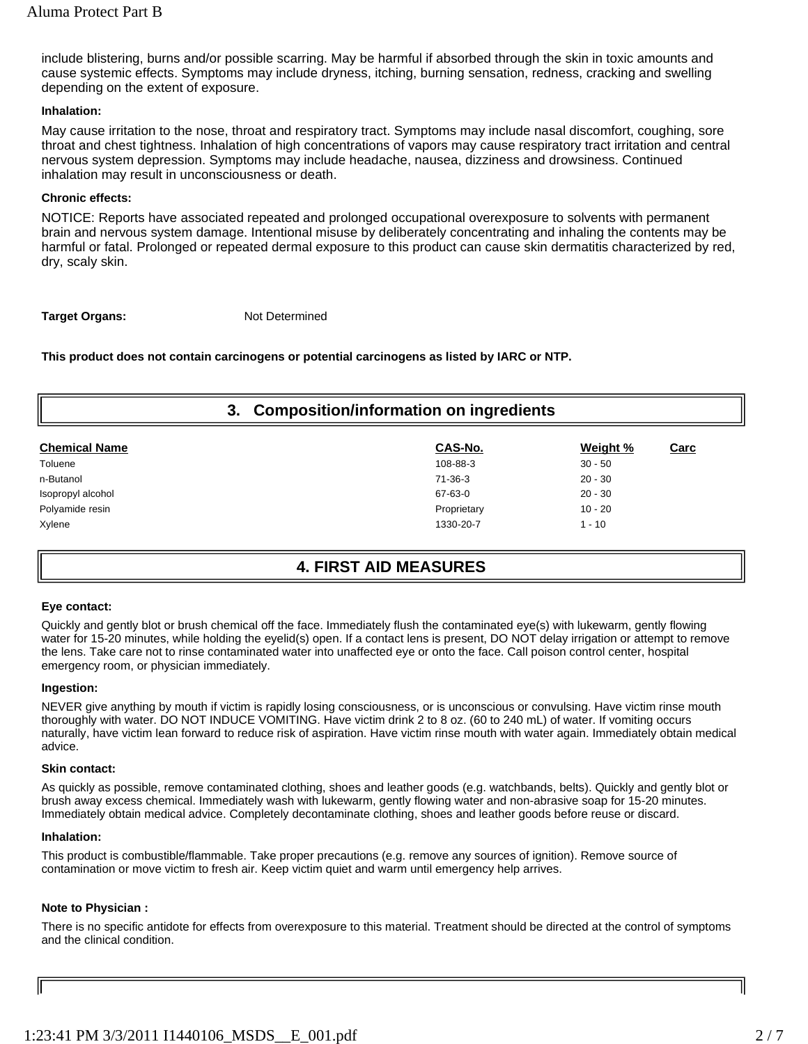include blistering, burns and/or possible scarring. May be harmful if absorbed through the skin in toxic amounts and cause systemic effects. Symptoms may include dryness, itching, burning sensation, redness, cracking and swelling depending on the extent of exposure.

### **Inhalation:**

May cause irritation to the nose, throat and respiratory tract. Symptoms may include nasal discomfort, coughing, sore throat and chest tightness. Inhalation of high concentrations of vapors may cause respiratory tract irritation and central nervous system depression. Symptoms may include headache, nausea, dizziness and drowsiness. Continued inhalation may result in unconsciousness or death.

### **Chronic effects:**

NOTICE: Reports have associated repeated and prolonged occupational overexposure to solvents with permanent brain and nervous system damage. Intentional misuse by deliberately concentrating and inhaling the contents may be harmful or fatal. Prolonged or repeated dermal exposure to this product can cause skin dermatitis characterized by red, dry, scaly skin.

**Target Organs:** Not Determined

**This product does not contain carcinogens or potential carcinogens as listed by IARC or NTP.**

| <b>Composition/information on ingredients</b><br>3. |           |      |  |
|-----------------------------------------------------|-----------|------|--|
| CAS-No.                                             | Weight %  | Carc |  |
| 108-88-3                                            | $30 - 50$ |      |  |
| 71-36-3                                             | $20 - 30$ |      |  |
| 67-63-0                                             | $20 - 30$ |      |  |
| Proprietary                                         | $10 - 20$ |      |  |
| 1330-20-7                                           | $1 - 10$  |      |  |
|                                                     |           |      |  |

### **4. FIRST AID MEASURES**

### **Eye contact:**

Quickly and gently blot or brush chemical off the face. Immediately flush the contaminated eye(s) with lukewarm, gently flowing water for 15-20 minutes, while holding the eyelid(s) open. If a contact lens is present, DO NOT delay irrigation or attempt to remove the lens. Take care not to rinse contaminated water into unaffected eye or onto the face. Call poison control center, hospital emergency room, or physician immediately.

### **Ingestion:**

NEVER give anything by mouth if victim is rapidly losing consciousness, or is unconscious or convulsing. Have victim rinse mouth thoroughly with water. DO NOT INDUCE VOMITING. Have victim drink 2 to 8 oz. (60 to 240 mL) of water. If vomiting occurs naturally, have victim lean forward to reduce risk of aspiration. Have victim rinse mouth with water again. Immediately obtain medical advice.

### **Skin contact:**

As quickly as possible, remove contaminated clothing, shoes and leather goods (e.g. watchbands, belts). Quickly and gently blot or brush away excess chemical. Immediately wash with lukewarm, gently flowing water and non-abrasive soap for 15-20 minutes. Immediately obtain medical advice. Completely decontaminate clothing, shoes and leather goods before reuse or discard.

### **Inhalation:**

This product is combustible/flammable. Take proper precautions (e.g. remove any sources of ignition). Remove source of contamination or move victim to fresh air. Keep victim quiet and warm until emergency help arrives.

### **Note to Physician :**

There is no specific antidote for effects from overexposure to this material. Treatment should be directed at the control of symptoms and the clinical condition.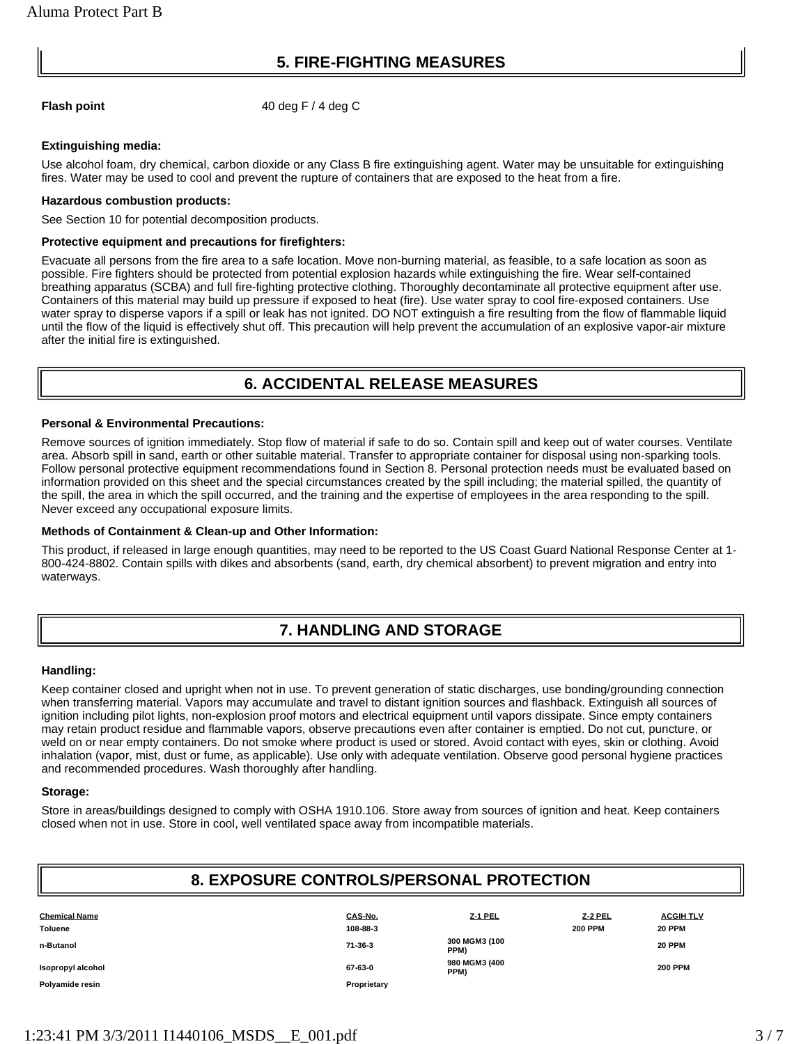### **5. FIRE-FIGHTING MEASURES**

**Flash point** 40 deg F / 4 deg C

### **Extinguishing media:**

Use alcohol foam, dry chemical, carbon dioxide or any Class B fire extinguishing agent. Water may be unsuitable for extinguishing fires. Water may be used to cool and prevent the rupture of containers that are exposed to the heat from a fire.

### **Hazardous combustion products:**

See Section 10 for potential decomposition products.

### **Protective equipment and precautions for firefighters:**

Evacuate all persons from the fire area to a safe location. Move non-burning material, as feasible, to a safe location as soon as possible. Fire fighters should be protected from potential explosion hazards while extinguishing the fire. Wear self-contained breathing apparatus (SCBA) and full fire-fighting protective clothing. Thoroughly decontaminate all protective equipment after use. Containers of this material may build up pressure if exposed to heat (fire). Use water spray to cool fire-exposed containers. Use water spray to disperse vapors if a spill or leak has not ignited. DO NOT extinguish a fire resulting from the flow of flammable liquid until the flow of the liquid is effectively shut off. This precaution will help prevent the accumulation of an explosive vapor-air mixture after the initial fire is extinguished.

### **6. ACCIDENTAL RELEASE MEASURES**

### **Personal & Environmental Precautions:**

Remove sources of ignition immediately. Stop flow of material if safe to do so. Contain spill and keep out of water courses. Ventilate area. Absorb spill in sand, earth or other suitable material. Transfer to appropriate container for disposal using non-sparking tools. Follow personal protective equipment recommendations found in Section 8. Personal protection needs must be evaluated based on information provided on this sheet and the special circumstances created by the spill including; the material spilled, the quantity of the spill, the area in which the spill occurred, and the training and the expertise of employees in the area responding to the spill. Never exceed any occupational exposure limits.

### **Methods of Containment & Clean-up and Other Information:**

This product, if released in large enough quantities, may need to be reported to the US Coast Guard National Response Center at 1- 800-424-8802. Contain spills with dikes and absorbents (sand, earth, dry chemical absorbent) to prevent migration and entry into waterways.

## **7. HANDLING AND STORAGE**

### **Handling:**

Keep container closed and upright when not in use. To prevent generation of static discharges, use bonding/grounding connection when transferring material. Vapors may accumulate and travel to distant ignition sources and flashback. Extinguish all sources of ignition including pilot lights, non-explosion proof motors and electrical equipment until vapors dissipate. Since empty containers may retain product residue and flammable vapors, observe precautions even after container is emptied. Do not cut, puncture, or weld on or near empty containers. Do not smoke where product is used or stored. Avoid contact with eyes, skin or clothing. Avoid inhalation (vapor, mist, dust or fume, as applicable). Use only with adequate ventilation. Observe good personal hygiene practices and recommended procedures. Wash thoroughly after handling.

### **Storage:**

Store in areas/buildings designed to comply with OSHA 1910.106. Store away from sources of ignition and heat. Keep containers closed when not in use. Store in cool, well ventilated space away from incompatible materials.

### **8. EXPOSURE CONTROLS/PERSONAL PROTECTION**

| <b>Chemical Name</b> | CAS-No.     | $Z-1$ PEL             | Z-2 PEL        | <b>ACGIH TLV</b> |
|----------------------|-------------|-----------------------|----------------|------------------|
| Toluene              | 108-88-3    |                       | <b>200 PPM</b> | <b>20 PPM</b>    |
| n-Butanol            | 71-36-3     | 300 MGM3 (100<br>PPM) |                | <b>20 PPM</b>    |
| Isopropyl alcohol    | 67-63-0     | 980 MGM3 (400<br>PPM) |                | <b>200 PPM</b>   |
| Polyamide resin      | Proprietary |                       |                |                  |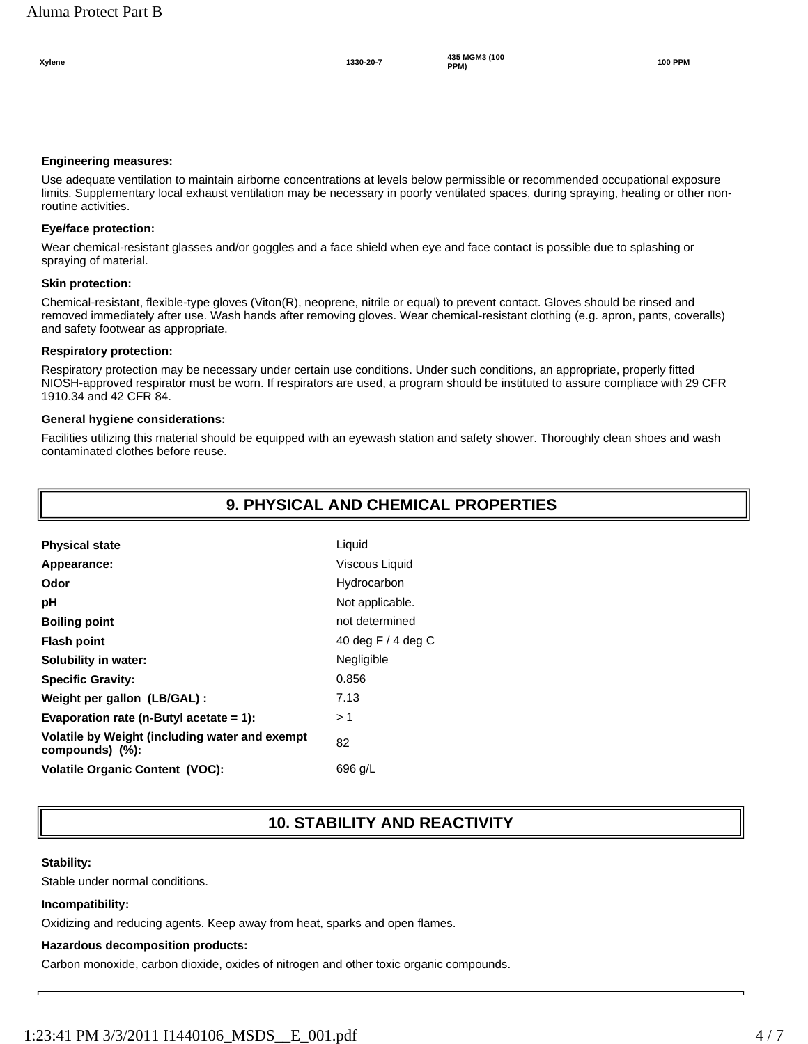#### **Engineering measures:**

Use adequate ventilation to maintain airborne concentrations at levels below permissible or recommended occupational exposure limits. Supplementary local exhaust ventilation may be necessary in poorly ventilated spaces, during spraying, heating or other nonroutine activities.

#### **Eye/face protection:**

Wear chemical-resistant glasses and/or goggles and a face shield when eye and face contact is possible due to splashing or spraying of material.

#### **Skin protection:**

Chemical-resistant, flexible-type gloves (Viton(R), neoprene, nitrile or equal) to prevent contact. Gloves should be rinsed and removed immediately after use. Wash hands after removing gloves. Wear chemical-resistant clothing (e.g. apron, pants, coveralls) and safety footwear as appropriate.

#### **Respiratory protection:**

Respiratory protection may be necessary under certain use conditions. Under such conditions, an appropriate, properly fitted NIOSH-approved respirator must be worn. If respirators are used, a program should be instituted to assure compliace with 29 CFR 1910.34 and 42 CFR 84.

#### **General hygiene considerations:**

Facilities utilizing this material should be equipped with an eyewash station and safety shower. Thoroughly clean shoes and wash contaminated clothes before reuse.

### **9. PHYSICAL AND CHEMICAL PROPERTIES**

| <b>Physical state</b>                                             | Liquid               |
|-------------------------------------------------------------------|----------------------|
| Appearance:                                                       | Viscous Liquid       |
| Odor                                                              | Hydrocarbon          |
| рH                                                                | Not applicable.      |
| <b>Boiling point</b>                                              | not determined       |
| <b>Flash point</b>                                                | 40 deg F $/$ 4 deg C |
| Solubility in water:                                              | Negligible           |
| <b>Specific Gravity:</b>                                          | 0.856                |
| Weight per gallon (LB/GAL):                                       | 7.13                 |
| Evaporation rate (n-Butyl acetate $= 1$ ):                        | > 1                  |
| Volatile by Weight (including water and exempt<br>compounds) (%): | 82                   |
| <b>Volatile Organic Content (VOC):</b>                            | 696 g/L              |

### **10. STABILITY AND REACTIVITY**

#### **Stability:**

Stable under normal conditions.

#### **Incompatibility:**

Oxidizing and reducing agents. Keep away from heat, sparks and open flames.

#### **Hazardous decomposition products:**

Carbon monoxide, carbon dioxide, oxides of nitrogen and other toxic organic compounds.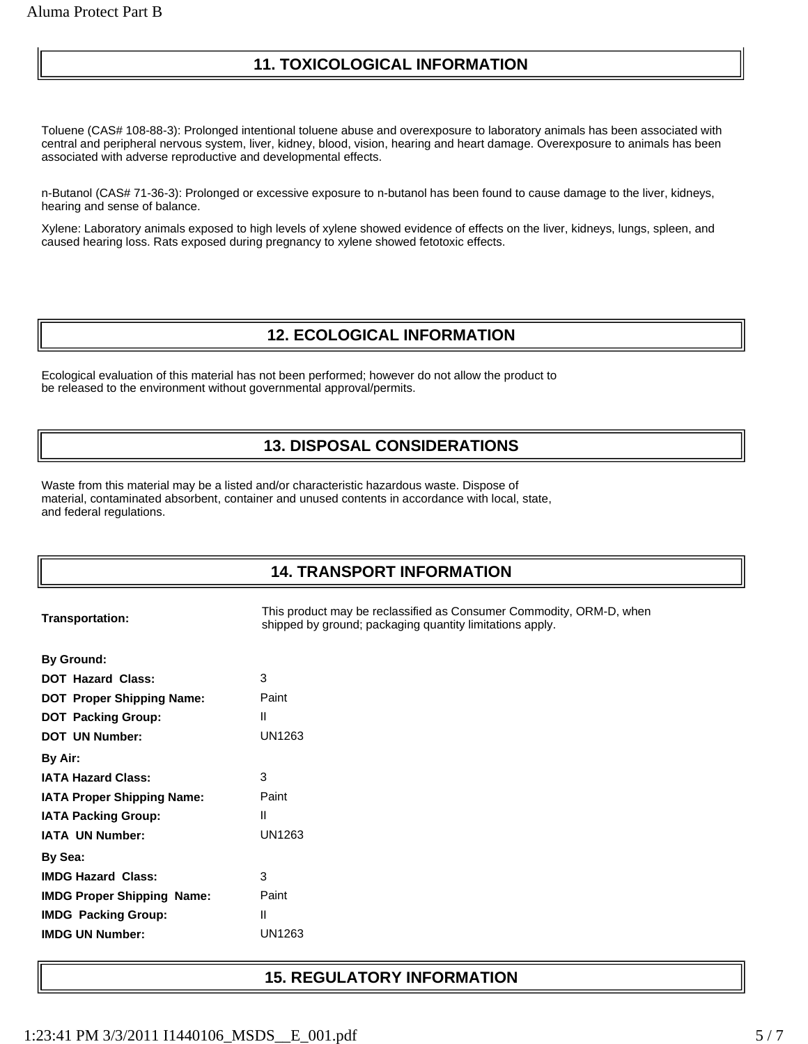### **11. TOXICOLOGICAL INFORMATION**

Toluene (CAS# 108-88-3): Prolonged intentional toluene abuse and overexposure to laboratory animals has been associated with central and peripheral nervous system, liver, kidney, blood, vision, hearing and heart damage. Overexposure to animals has been associated with adverse reproductive and developmental effects.

n-Butanol (CAS# 71-36-3): Prolonged or excessive exposure to n-butanol has been found to cause damage to the liver, kidneys, hearing and sense of balance.

Xylene: Laboratory animals exposed to high levels of xylene showed evidence of effects on the liver, kidneys, lungs, spleen, and caused hearing loss. Rats exposed during pregnancy to xylene showed fetotoxic effects.

### **12. ECOLOGICAL INFORMATION**

Ecological evaluation of this material has not been performed; however do not allow the product to be released to the environment without governmental approval/permits.

## **13. DISPOSAL CONSIDERATIONS**

Waste from this material may be a listed and/or characteristic hazardous waste. Dispose of material, contaminated absorbent, container and unused contents in accordance with local, state, and federal regulations.

### **14. TRANSPORT INFORMATION**

**Transportation:** This product may be reclassified as Consumer Commodity, ORM-D, when shipped by ground; packaging quantity limitations apply.

| By Ground:                                 |        |  |
|--------------------------------------------|--------|--|
| <b>DOT Hazard Class:</b>                   | 3      |  |
| <b>DOT Proper Shipping Name:</b>           | Paint  |  |
| <b>DOT</b> Packing Group:                  | Ш      |  |
| <b>DOT UN Number:</b>                      | UN1263 |  |
| By Air:                                    |        |  |
| <b>IATA Hazard Class:</b>                  | 3      |  |
| Paint<br><b>IATA Proper Shipping Name:</b> |        |  |
| Ш<br><b>IATA Packing Group:</b>            |        |  |
| <b>IATA UN Number:</b>                     | UN1263 |  |
| By Sea:                                    |        |  |
| <b>IMDG Hazard Class:</b>                  | 3      |  |
| <b>IMDG Proper Shipping Name:</b>          | Paint  |  |
| <b>IMDG</b> Packing Group:                 | Ш      |  |
| <b>IMDG UN Number:</b>                     | UN1263 |  |
|                                            |        |  |

### **15. REGULATORY INFORMATION**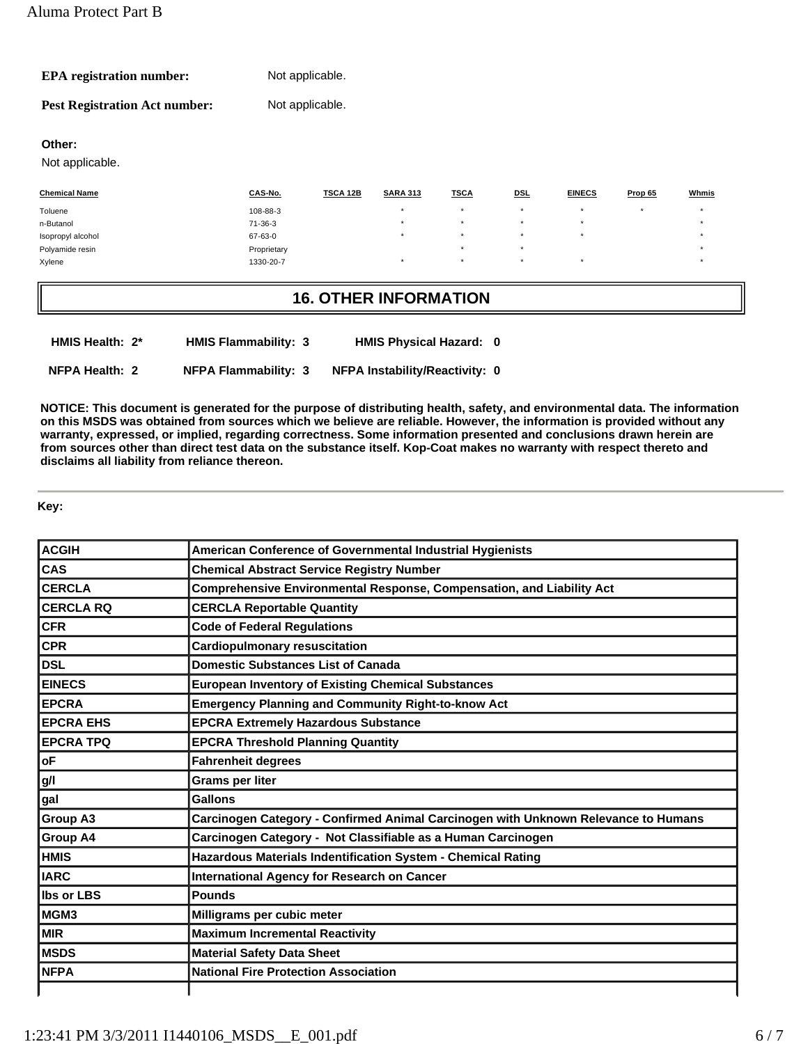| <b>EPA</b> registration number:      | Not applicable. |
|--------------------------------------|-----------------|
| <b>Pest Registration Act number:</b> | Not applicable. |

### **Other:**

Not applicable.

| <b>Chemical Name</b> | CAS-No.       | TSCA 12B | <b>SARA 313</b> | <b>TSCA</b> | <b>DSL</b> | <b>EINECS</b> | Prop 65 | Whmis |
|----------------------|---------------|----------|-----------------|-------------|------------|---------------|---------|-------|
| Toluene              | 108-88-3      |          | $\star$         |             |            |               | $\star$ |       |
| n-Butanol            | $71 - 36 - 3$ |          | $\star$         | $\star$     | $\star$    | $\star$       |         |       |
| Isopropyl alcohol    | 67-63-0       |          | $\star$         |             |            |               |         |       |
| Polyamide resin      | Proprietary   |          |                 | $\star$     | $\star$    |               |         |       |
| Xylene               | 1330-20-7     |          | $\star$         | $\star$     | $\star$    | $\star$       |         |       |

### **16. OTHER INFORMATION**

| HMIS Health: 2* | <b>HMIS Flammability: 3</b> | <b>HMIS Physical Hazard: 0</b>        |  |
|-----------------|-----------------------------|---------------------------------------|--|
| NFPA Health: 2  | <b>NFPA Flammability: 3</b> | <b>NFPA Instability/Reactivity: 0</b> |  |

**NOTICE: This document is generated for the purpose of distributing health, safety, and environmental data. The information on this MSDS was obtained from sources which we believe are reliable. However, the information is provided without any warranty, expressed, or implied, regarding correctness. Some information presented and conclusions drawn herein are from sources other than direct test data on the substance itself. Kop-Coat makes no warranty with respect thereto and disclaims all liability from reliance thereon.**

**Key:** 

| <b>ACGIH</b>      | American Conference of Governmental Industrial Hygienists                          |
|-------------------|------------------------------------------------------------------------------------|
| CAS               | <b>Chemical Abstract Service Registry Number</b>                                   |
| <b>CERCLA</b>     | Comprehensive Environmental Response, Compensation, and Liability Act              |
| <b>CERCLA RQ</b>  | <b>CERCLA Reportable Quantity</b>                                                  |
| <b>CFR</b>        | <b>Code of Federal Regulations</b>                                                 |
| <b>CPR</b>        | <b>Cardiopulmonary resuscitation</b>                                               |
| <b>DSL</b>        | <b>Domestic Substances List of Canada</b>                                          |
| <b>EINECS</b>     | <b>European Inventory of Existing Chemical Substances</b>                          |
| <b>EPCRA</b>      | <b>Emergency Planning and Community Right-to-know Act</b>                          |
| <b>EPCRA EHS</b>  | <b>EPCRA Extremely Hazardous Substance</b>                                         |
| <b>EPCRA TPQ</b>  | <b>EPCRA Threshold Planning Quantity</b>                                           |
| oF                | <b>Fahrenheit degrees</b>                                                          |
| g/l               | Grams per liter                                                                    |
| gal               | Gallons                                                                            |
| Group A3          | Carcinogen Category - Confirmed Animal Carcinogen with Unknown Relevance to Humans |
| <b>Group A4</b>   | Carcinogen Category - Not Classifiable as a Human Carcinogen                       |
| <b>HMIS</b>       | Hazardous Materials Indentification System - Chemical Rating                       |
| <b>IARC</b>       | <b>International Agency for Research on Cancer</b>                                 |
| <b>Ibs or LBS</b> | <b>Pounds</b>                                                                      |
| MGM3              | Milligrams per cubic meter                                                         |
| <b>MIR</b>        | <b>Maximum Incremental Reactivity</b>                                              |
| <b>MSDS</b>       | <b>Material Safety Data Sheet</b>                                                  |
| <b>NFPA</b>       | <b>National Fire Protection Association</b>                                        |
|                   |                                                                                    |